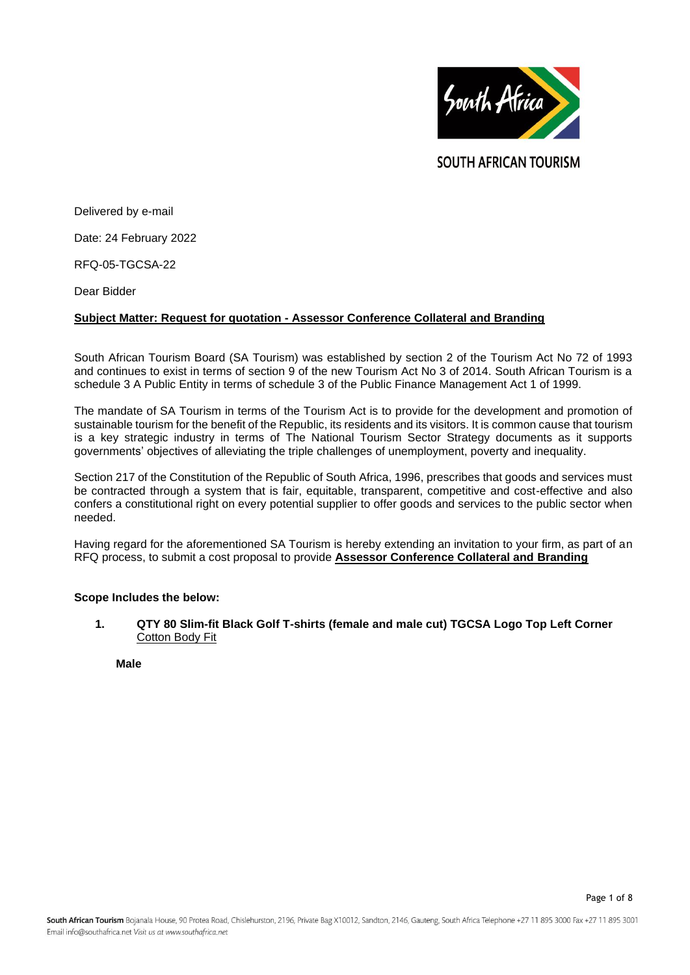

**SOUTH AFRICAN TOURISM** 

Delivered by e-mail

Date: 24 February 2022

RFQ-05-TGCSA-22

Dear Bidder

## **Subject Matter: Request for quotation - Assessor Conference Collateral and Branding**

South African Tourism Board (SA Tourism) was established by section 2 of the Tourism Act No 72 of 1993 and continues to exist in terms of section 9 of the new Tourism Act No 3 of 2014. South African Tourism is a schedule 3 A Public Entity in terms of schedule 3 of the Public Finance Management Act 1 of 1999.

The mandate of SA Tourism in terms of the Tourism Act is to provide for the development and promotion of sustainable tourism for the benefit of the Republic, its residents and its visitors. It is common cause that tourism is a key strategic industry in terms of The National Tourism Sector Strategy documents as it supports governments' objectives of alleviating the triple challenges of unemployment, poverty and inequality.

Section 217 of the Constitution of the Republic of South Africa, 1996, prescribes that goods and services must be contracted through a system that is fair, equitable, transparent, competitive and cost-effective and also confers a constitutional right on every potential supplier to offer goods and services to the public sector when needed.

Having regard for the aforementioned SA Tourism is hereby extending an invitation to your firm, as part of an RFQ process, to submit a cost proposal to provide **Assessor Conference Collateral and Branding**

#### **Scope Includes the below:**

**1. QTY 80 Slim-fit Black Golf T-shirts (female and male cut) TGCSA Logo Top Left Corner** Cotton Body Fit

**Male**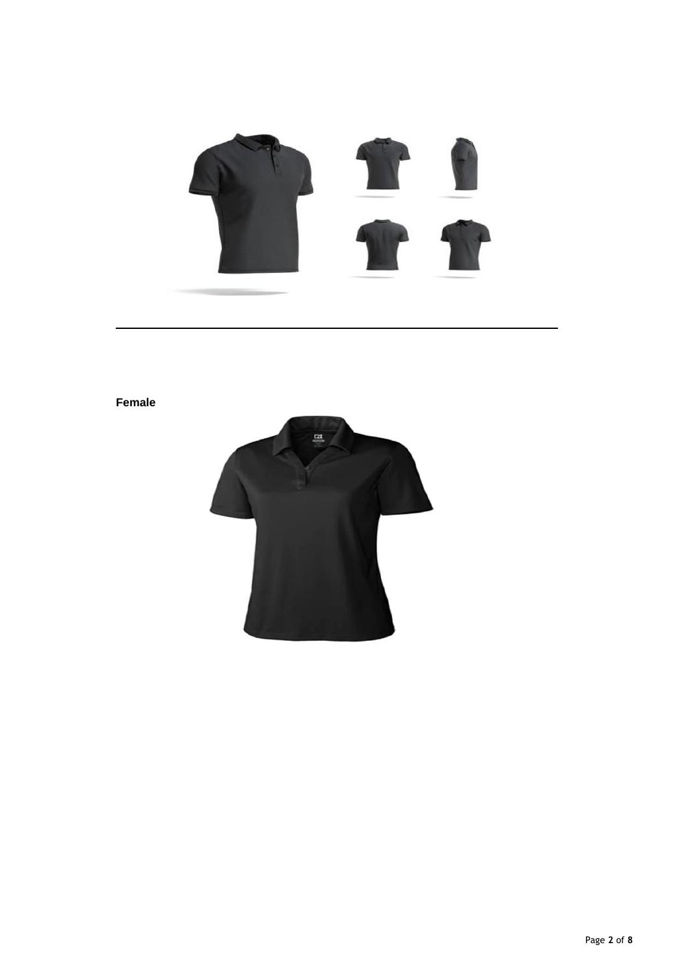

# **Female**

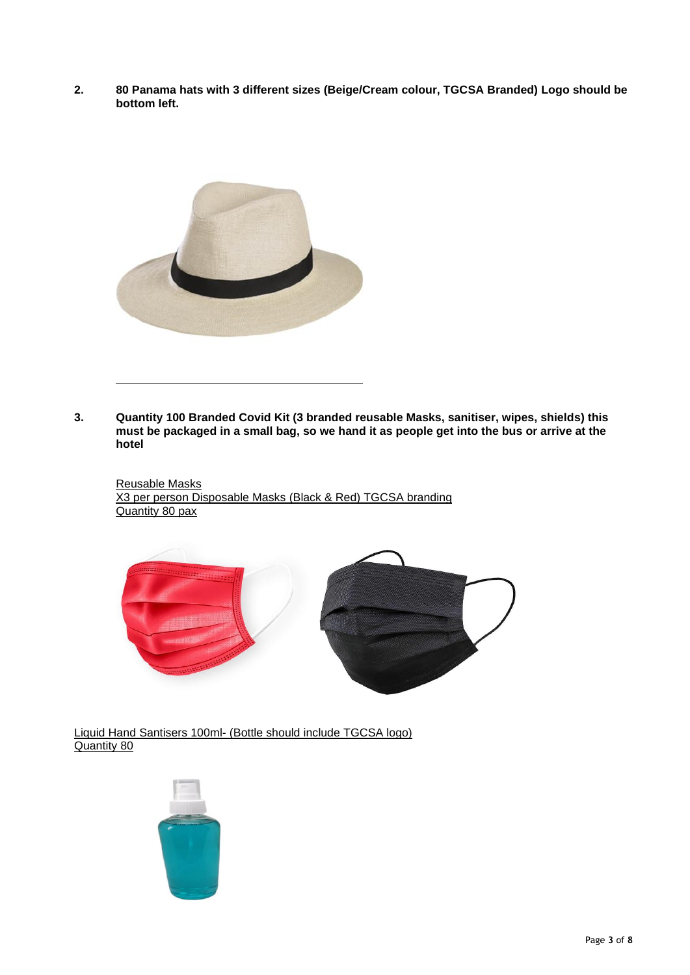**2. 80 Panama hats with 3 different sizes (Beige/Cream colour, TGCSA Branded) Logo should be bottom left.**



**3. Quantity 100 Branded Covid Kit (3 branded reusable Masks, sanitiser, wipes, shields) this must be packaged in a small bag, so we hand it as people get into the bus or arrive at the hotel**

Reusable Masks X3 per person Disposable Masks (Black & Red) TGCSA branding Quantity 80 pax



Liquid Hand Santisers 100ml- (Bottle should include TGCSA logo) Quantity 80

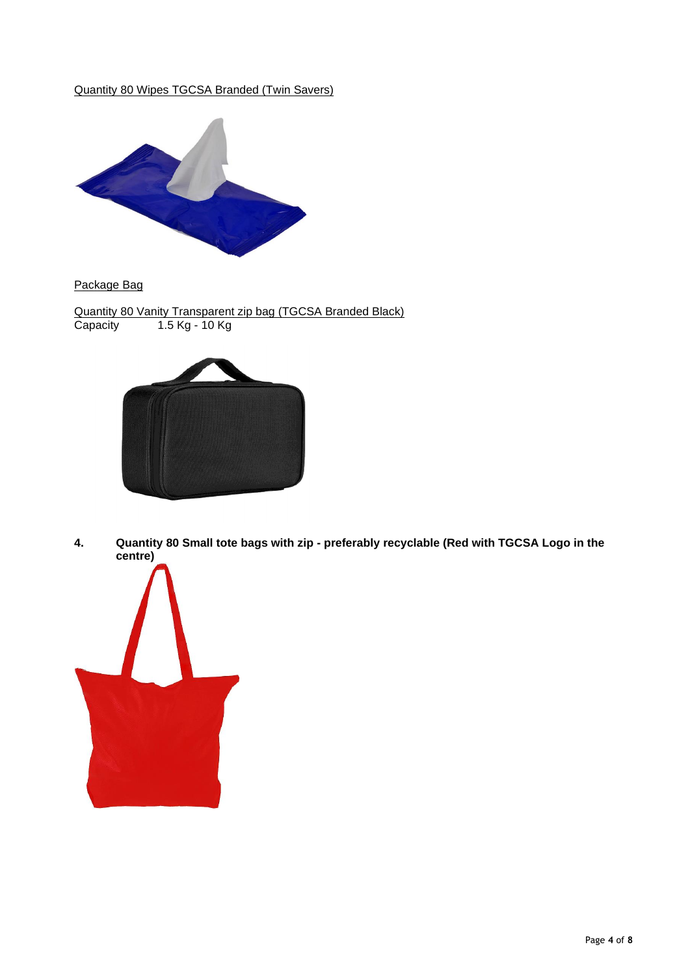Quantity 80 Wipes TGCSA Branded (Twin Savers)



Package Bag

Quantity 80 Vanity Transparent zip bag (TGCSA Branded Black) Capacity 1.5 Kg - 10 Kg



**4. Quantity 80 Small tote bags with zip - preferably recyclable (Red with TGCSA Logo in the centre)**

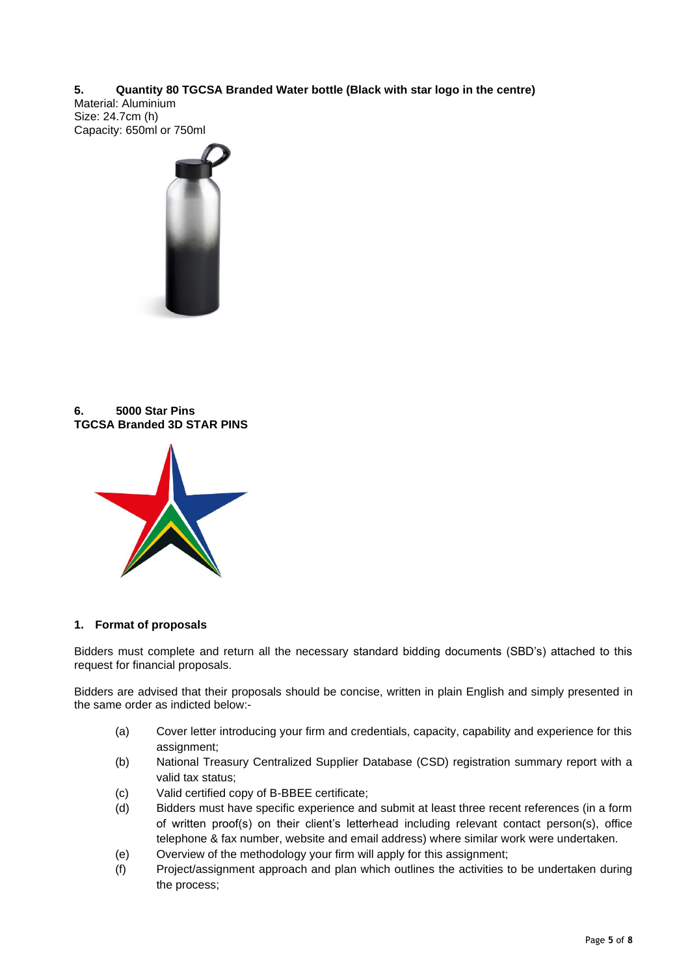**5. Quantity 80 TGCSA Branded Water bottle (Black with star logo in the centre)** Material: Aluminium Size: 24.7cm (h) Capacity: 650ml or 750ml



**6. 5000 Star Pins TGCSA Branded 3D STAR PINS**



# **1. Format of proposals**

Bidders must complete and return all the necessary standard bidding documents (SBD's) attached to this request for financial proposals.

Bidders are advised that their proposals should be concise, written in plain English and simply presented in the same order as indicted below:-

- (a) Cover letter introducing your firm and credentials, capacity, capability and experience for this assignment;
- (b) National Treasury Centralized Supplier Database (CSD) registration summary report with a valid tax status;
- (c) Valid certified copy of B-BBEE certificate;
- (d) Bidders must have specific experience and submit at least three recent references (in a form of written proof(s) on their client's letterhead including relevant contact person(s), office telephone & fax number, website and email address) where similar work were undertaken.
- (e) Overview of the methodology your firm will apply for this assignment;
- (f) Project/assignment approach and plan which outlines the activities to be undertaken during the process;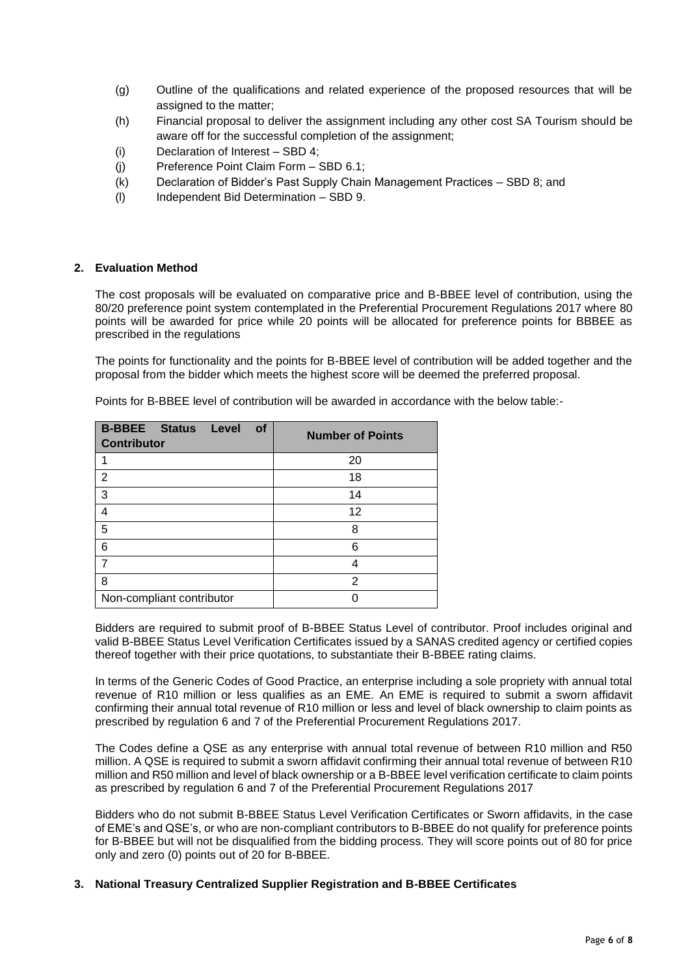- (g) Outline of the qualifications and related experience of the proposed resources that will be assigned to the matter;
- (h) Financial proposal to deliver the assignment including any other cost SA Tourism should be aware off for the successful completion of the assignment;
- (i) Declaration of Interest SBD 4;
- (j) Preference Point Claim Form SBD 6.1;
- (k) Declaration of Bidder's Past Supply Chain Management Practices SBD 8; and
- (l) Independent Bid Determination SBD 9.

## **2. Evaluation Method**

The cost proposals will be evaluated on comparative price and B-BBEE level of contribution, using the 80/20 preference point system contemplated in the Preferential Procurement Regulations 2017 where 80 points will be awarded for price while 20 points will be allocated for preference points for BBBEE as prescribed in the regulations

The points for functionality and the points for B-BBEE level of contribution will be added together and the proposal from the bidder which meets the highest score will be deemed the preferred proposal.

| <b>B-BBEE</b> Status<br><b>Level</b><br><b>of</b><br><b>Contributor</b> | <b>Number of Points</b> |
|-------------------------------------------------------------------------|-------------------------|
|                                                                         | 20                      |
| $\overline{2}$                                                          | 18                      |
| 3                                                                       | 14                      |
| $\overline{4}$                                                          | 12                      |
| 5                                                                       | 8                       |
| 6                                                                       | 6                       |
| 7                                                                       | 4                       |
| 8                                                                       | 2                       |
| Non-compliant contributor                                               |                         |

Points for B-BBEE level of contribution will be awarded in accordance with the below table:-

Bidders are required to submit proof of B-BBEE Status Level of contributor. Proof includes original and valid B-BBEE Status Level Verification Certificates issued by a SANAS credited agency or certified copies thereof together with their price quotations, to substantiate their B-BBEE rating claims.

In terms of the Generic Codes of Good Practice, an enterprise including a sole propriety with annual total revenue of R10 million or less qualifies as an EME. An EME is required to submit a sworn affidavit confirming their annual total revenue of R10 million or less and level of black ownership to claim points as prescribed by regulation 6 and 7 of the Preferential Procurement Regulations 2017.

The Codes define a QSE as any enterprise with annual total revenue of between R10 million and R50 million. A QSE is required to submit a sworn affidavit confirming their annual total revenue of between R10 million and R50 million and level of black ownership or a B-BBEE level verification certificate to claim points as prescribed by regulation 6 and 7 of the Preferential Procurement Regulations 2017

Bidders who do not submit B-BBEE Status Level Verification Certificates or Sworn affidavits, in the case of EME's and QSE's, or who are non-compliant contributors to B-BBEE do not qualify for preference points for B-BBEE but will not be disqualified from the bidding process. They will score points out of 80 for price only and zero (0) points out of 20 for B-BBEE.

# **3. National Treasury Centralized Supplier Registration and B-BBEE Certificates**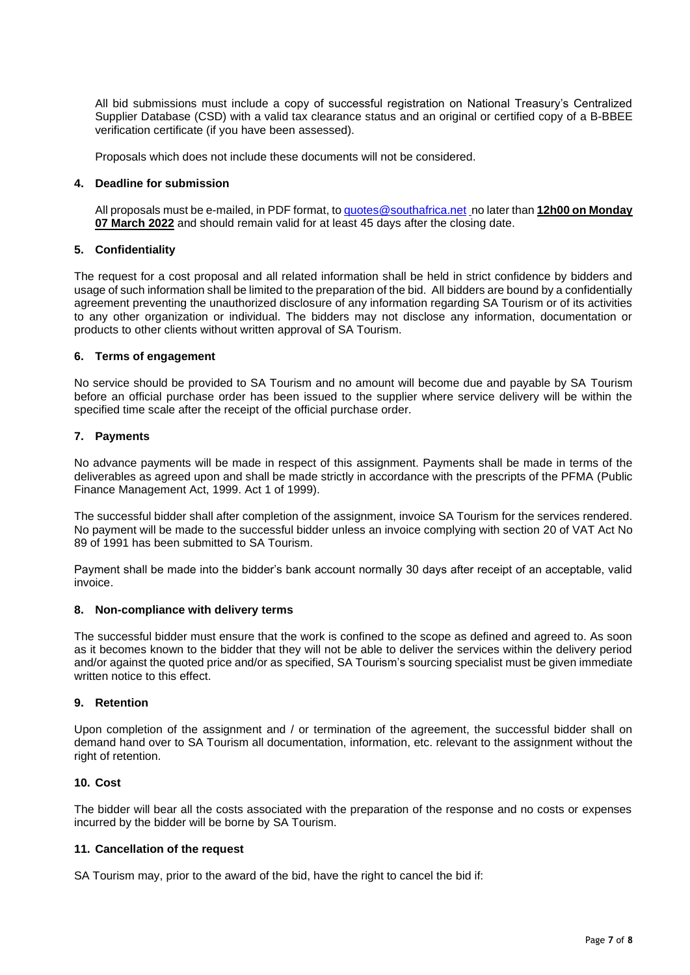All bid submissions must include a copy of successful registration on National Treasury's Centralized Supplier Database (CSD) with a valid tax clearance status and an original or certified copy of a B-BBEE verification certificate (if you have been assessed).

Proposals which does not include these documents will not be considered.

# **4. Deadline for submission**

All proposals must be e-mailed, in PDF format, to [quotes@southafrica.net](mailto:sizakele@southafrica.net) no later than **12h00 on Monday 07 March 2022** and should remain valid for at least 45 days after the closing date.

## **5. Confidentiality**

The request for a cost proposal and all related information shall be held in strict confidence by bidders and usage of such information shall be limited to the preparation of the bid. All bidders are bound by a confidentially agreement preventing the unauthorized disclosure of any information regarding SA Tourism or of its activities to any other organization or individual. The bidders may not disclose any information, documentation or products to other clients without written approval of SA Tourism.

## **6. Terms of engagement**

No service should be provided to SA Tourism and no amount will become due and payable by SA Tourism before an official purchase order has been issued to the supplier where service delivery will be within the specified time scale after the receipt of the official purchase order.

# **7. Payments**

No advance payments will be made in respect of this assignment. Payments shall be made in terms of the deliverables as agreed upon and shall be made strictly in accordance with the prescripts of the PFMA (Public Finance Management Act, 1999. Act 1 of 1999).

The successful bidder shall after completion of the assignment, invoice SA Tourism for the services rendered. No payment will be made to the successful bidder unless an invoice complying with section 20 of VAT Act No 89 of 1991 has been submitted to SA Tourism.

Payment shall be made into the bidder's bank account normally 30 days after receipt of an acceptable, valid invoice.

## **8. Non-compliance with delivery terms**

The successful bidder must ensure that the work is confined to the scope as defined and agreed to. As soon as it becomes known to the bidder that they will not be able to deliver the services within the delivery period and/or against the quoted price and/or as specified, SA Tourism's sourcing specialist must be given immediate written notice to this effect.

## **9. Retention**

Upon completion of the assignment and / or termination of the agreement, the successful bidder shall on demand hand over to SA Tourism all documentation, information, etc. relevant to the assignment without the right of retention.

#### **10. Cost**

The bidder will bear all the costs associated with the preparation of the response and no costs or expenses incurred by the bidder will be borne by SA Tourism.

#### **11. Cancellation of the request**

SA Tourism may, prior to the award of the bid, have the right to cancel the bid if: